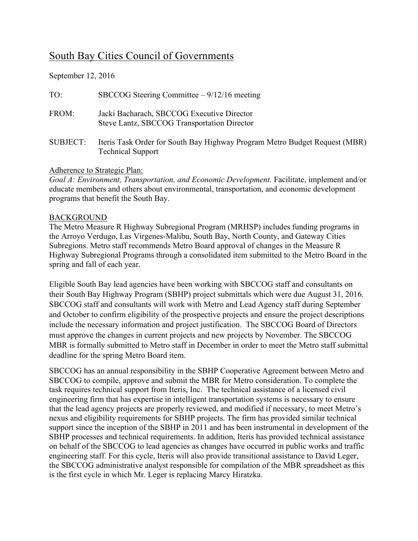## South Bay Cities Council of Governments

September 12, 2016

| TO:             | SBCCOG Steering Committee $-9/12/16$ meeting                                                           |
|-----------------|--------------------------------------------------------------------------------------------------------|
| FROM:           | Jacki Bacharach, SBCCOG Executive Director<br>Steve Lantz, SBCCOG Transportation Director              |
| <b>SUBJECT:</b> | Iteris Task Order for South Bay Highway Program Metro Budget Request (MBR)<br><b>Technical Support</b> |

## Adherence to Strategic Plan:

*Goal A: Environment, Transportation, and Economic Development. Facilitate, implement and/or* educate members and others about environmental, transportation, and economic development programs that benefit the South Bay.

## **BACKGROUND**

The Metro Measure R Highway Subregional Program (MRHSP) includes funding programs in the Arroyo Verdugo, Las Virgenes-Malibu, South Bay, North County, and Gateway Cities Subregions. Metro staff recommends Metro Board approval of changes in the Measure R Highway Subregional Programs through a consolidated item submitted to the Metro Board in the spring and fall of each year.

Eligible South Bay lead agencies have been working with SBCCOG staff and consultants on their South Bay Highway Program (SBHP) project submittals which were due August 31, 2016. SBCCOG staff and consultants will work with Metro and Lead Agency staff during September and October to confirm eligibility of the prospective projects and ensure the project descriptions include the necessary information and project justification. The SBCCOG Board of Directors must approve the changes in current projects and new projects by November. The SBCCOG MBR is formally submitted to Metro staff in December in order to meet the Metro staff submittal deadline for the spring Metro Board item.

SBCCOG has an annual responsibility in the SBHP Cooperative Agreement between Metro and SBCCOG to compile, approve and submit the MBR for Metro consideration. To complete the task requires technical support from Iteris, Inc. The technical assistance of a licensed civil engineering firm that has expertise in intelligent transportation systems is necessary to ensure that the lead agency projects are properly reviewed, and modified if necessary, to meet Metro's nexus and eligibility requirements for SBHP projects. The firm has provided similar technical support since the inception of the SBHP in 2011 and has been instrumental in development of the SBHP processes and technical requirements. In addition, Iteris has provided technical assistance on behalf of the SBCCOG to lead agencies as changes have occurred in public works and traffic engineering staff. For this cycle, Iteris will also provide transitional assistance to David Leger, the SBCCOG administrative analyst responsible for compilation of the MBR spreadsheet as this is the first cycle in which Mr. Leger is replacing Marcy Hiratzka.